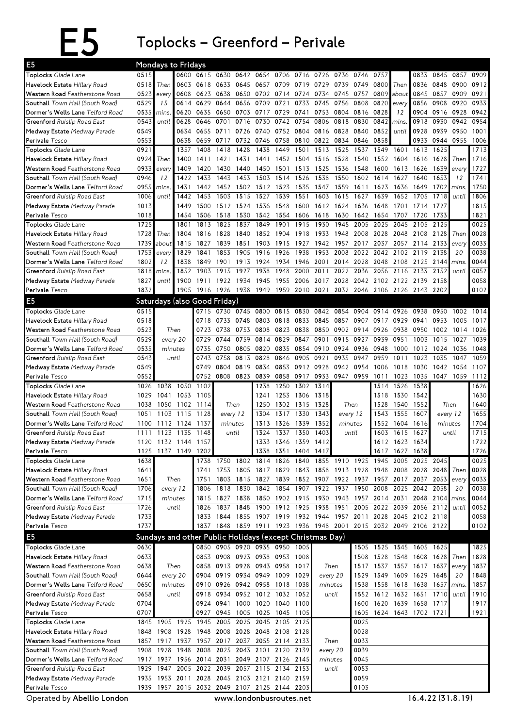E5 Toplocks – Greenford – Perivale

| E <sub>5</sub>                                                 |              | Mondays to Fridays     |              |                                                          |              |                   |                                         |                     |              |           |                |              |                                  |              |                                                             |              |           |              |
|----------------------------------------------------------------|--------------|------------------------|--------------|----------------------------------------------------------|--------------|-------------------|-----------------------------------------|---------------------|--------------|-----------|----------------|--------------|----------------------------------|--------------|-------------------------------------------------------------|--------------|-----------|--------------|
| Toplocks Glade Lane                                            | 0515         |                        | 0600         |                                                          | 0615 0630    | 0642              | 0654                                    | 0706                | 0716         | 0726      | 0736           | 0746         | 0757                             |              | 0833                                                        | 0845         | 0857      | 0909         |
| Havelock Estate Hillary Road                                   | 0518         | Then                   | 0603         | 0618                                                     | 0633         | 0645              | 0657                                    | 0709                | 0719         | 0729      | 0739           | 0749         | 0800                             | Then         | 0836                                                        | 0848         | 0900      | 0912         |
| Western Road Featherstone Road                                 | 0523         | every                  | 0608         | 0623                                                     | 0638         | 0650              | 0702                                    | 0714                | 0724         | 0734      | 0745           | 0757         | 0809                             | about        | 0845                                                        | 0857         | 0909      | 0921         |
| Southall Town Hall (South Road)                                | 0529         | 15                     | 0614         | 0629                                                     | 0644         | 0656              | 0709                                    | 0721                | 0733         | 0745      | 0756           | 0808         | 0820                             | every        | 0856                                                        | 0908         | 0920      | 0933         |
| Dormer's Wells Lane Telford Road                               | 0535         | mins                   | 0620         | 0635                                                     | 0650         | 0703              | 0717                                    | 0729                | 0741         | 0753      | 0804 0816      |              | 0828                             | 12           | 0904                                                        |              | 0916 0928 | 0942         |
| Greenford Ruislip Road East                                    | 0543         | until                  | 0628         | 0646                                                     | 0701         | 0716              | 0730                                    | 0742                | 0754         | 0806      | 0818           | 0830         | 0842                             | mins.        | 0918                                                        | 0930         | 0942      | 0954         |
| Medway Estate Medway Parade                                    | 0549         |                        | 0634         | 0655                                                     | 0711         | 0726              | 0740                                    | 0752 0804           |              |           | 0816 0828      | 0840         | 0852                             | until        | 0928                                                        | 0939         | 0950      | 1001         |
| Perivale Tesco                                                 | 0553         |                        | 0638         | 0659                                                     | 0717         | 0732              | 0746                                    | 0758                | 0810         | 0822 0834 |                | 0846         | 0858                             |              | 0933                                                        | 0944         | 0955      | 1006         |
| Toplocks Glade Lane                                            | 0921         |                        | 1357         | 1408                                                     | 1418         | 1428              | 1438                                    | 1449                | 1501         | 1513      | 1525           | 1537         | 1549                             | 1601         | 1613                                                        | 1625         |           | 1713         |
| Havelock Estate Hillary Road                                   | 0924         | Then                   | 1400         | 1411                                                     | 1421         | 1431              | 1441                                    |                     | 1452 1504    |           | 1516 1528      | 1540         | 1552                             | 1604         | 1616                                                        | 1628         | Then      | 1716         |
| Western Road Featherstone Road                                 | 0933         | every                  | 1409         | 1420                                                     | 1430         | 1440              | 1450                                    | 1501 1513           |              | 1525      | 1536           | 1548         | 1600                             | 1613         | 1626                                                        | 1639         | every     | 1727         |
| Southall Town Hall (South Road)                                | 0946         | 12                     | 1422         | 1433                                                     | 1443         | 1453              | 1503                                    | 1514                | 1526         | 1538      | 1550           | 1602         | 1614                             | 1627         | 1640                                                        | 1653         | 12        | 1741         |
| Dormer's Wells Lane Telford Road                               | 0955<br>1006 | mins.                  | 1431         | 1442<br>1453                                             | 1452<br>1503 | 1502              | 1512                                    | 1523<br>1539        | 1535<br>1551 | 1547      | 1559<br>1615   | 1611         | 1623                             | 1636         | 1649<br>1705                                                | 1702<br>1718 | mins.     | 1750<br>1806 |
| Greenford Ruislip Road East                                    | 1013         | until                  | 1442<br>1449 | 1500                                                     |              | 1515<br>1512 1524 | 1527<br>1536                            | 1548                | 1600         | 1603      |                | 1627         | 1639                             | 1652<br>1701 | 1714                                                        | 1727         | until     | 1815         |
| Medway Estate Medway Parade<br>Perivale Tesco                  | 1018         |                        | 1454         | 1506                                                     |              |                   | 1518 1530 1542 1554 1606                |                     |              |           | 1612 1624      | 1636         | 1648<br>1618 1630 1642 1654 1707 |              | 1720                                                        | 1733         |           | 1821         |
| Toplocks Glade Lane                                            | 1725         |                        | 1801         | 1813                                                     | 1825         | 1837              | 1849                                    | 1901                | 1915         | 1930      | 1945           | 2005         | 2025                             | 2045         | 2105                                                        | 2125         |           | 0025         |
| Havelock Estate Hillary Road                                   | 1728         | Then                   | 1804         | 1816                                                     | 1828         | 1840              | 1852                                    | 1904                | 1918         | 1933      | 1948           | 2008         | 2028                             | 2048         | 2108                                                        | 2128         | Then      | 0028         |
| Western Road Featherstone Road                                 | 1739         | about                  | 1815         | 1827                                                     | 1839         | 1851              | 1903                                    | 1915                | 1927         | 1942      | 1957           | 2017         | 2037                             | 2057         | 2114                                                        | 2133         | every     | 0033         |
| Southall Town Hall (South Road)                                | 1753         | every                  | 1829         | 1841                                                     | 1853         | 1905              | 1916                                    | 1926                | 1938         | 1953      | 2008           | 2022         | 2042                             | 2102         | 2119                                                        | 2138         | 20        | 0038         |
| Dormer's Wells Lane Telford Road                               | 1802         | 12                     | 1838         | 1849                                                     | 1901         | 1913              | 1924                                    | 1934                | 1946         | 2001      | 2014 2028      |              | 2048                             | 2108         | 2125                                                        | 2144         | mins.     | 0044         |
| Greenford Ruislip Road East                                    | 1818         | mins.                  | 1852         | 1903                                                     | 1915         | 1927              | 1938                                    | 1948                | 2000         | 2011      | 2022           | 2036         | 2056                             | 2116         | 2133                                                        | 2152         | until     | 0052         |
| Medway Estate Medway Parade                                    | 1827         | until                  | 1900         | 1911                                                     | 1922         | 1934              | 1945                                    | 1955 2006           |              | 2017      | 2028           | 2042         |                                  |              | 2102 2122 2139                                              | 2158         |           | 0058         |
| Perivale Tesco                                                 | 1832         |                        | 1905         |                                                          |              | 1916 1926 1938    | 1949                                    | 1959 2010           |              | 2021      |                |              |                                  |              | 2032 2046 2106 2126 2143 2202                               |              |           | 0102         |
| E <sub>5</sub>                                                 |              |                        |              | Saturdays (also Good Friday)                             |              |                   |                                         |                     |              |           |                |              |                                  |              |                                                             |              |           |              |
| Toplocks Glade Lane                                            | 0515         |                        |              | 0715                                                     | 0730         | 0745              | 0800                                    | 0815                | 0830         | 0842      | 0854           | 0904         | 0914                             | 0926         | 0938                                                        | 0950         | 1002      | 1014         |
| Havelock Estate Hillary Road                                   | 0518         |                        |              | 0718                                                     | 0733         | 0748              | 0803                                    | 0818                | 0833         | 0845      | 0857           | 0907         | 0917                             | 0929         | 0941                                                        | 0953         | 1005      | 1017         |
| Western Road Featherstone Road                                 | 0523         |                        | Then         | 0723                                                     | 0738         | 0753              | 0808                                    | 0823                | 0838         | 0850      | 0902           | 0914         | 0926                             | 0938         | 0950                                                        | 1002         | 1014      | 1026         |
| Southall Town Hall (South Road)                                | 0529         |                        | every 20     | 0729                                                     | 0744         | 0759              | 0814                                    | 0829                | 0847         | 0901      | 0915           | 0927         | 0939                             | 0951         | 1003                                                        | 1015         | 1027      | 1039         |
| Dormer's Wells Lane Telford Road                               | 0535         |                        | minutes      | 0735                                                     | 0750         | 0805              | 0820                                    | 0835                | 0854         | 0910      | 0924           | 0936         | 0948                             | 1000         | 1012                                                        | 1024         | 1036      | 1048         |
| Greenford Ruislip Road East                                    | 0543         |                        | until        | 0743                                                     | 0758         | 0813              | 0828                                    | 0846                | 0905         | 0921      | 0935           | 0947         | 0959                             | 1011         | 1023                                                        | 1035         | 1047      | 1059         |
| Medway Estate Medway Parade                                    | 0549         |                        |              | 0749                                                     | 0804         | 0819              | 0834                                    | 0853                | 0912         | 0928      | 0942           | 0954         | 1006                             | 1018         | 1030                                                        | 1042         | 1054      | 1107         |
|                                                                |              |                        |              |                                                          |              |                   |                                         |                     |              |           |                |              |                                  |              |                                                             |              |           |              |
| Perivale Tesco                                                 | 0552         |                        |              | 0752                                                     |              | 0808 0823 0839    |                                         | 0858 0917           |              | 0933      | 0947 0959      |              | 1011                             | 1023         | 1035                                                        | 1047 1059    |           | 1112         |
| Toplocks Glade Lane                                            | 1026         | 1038                   | 1050         | 1102                                                     |              |                   | 1238                                    |                     | 1250 1302    | 1314      |                |              | 1514                             | 1526         | 1538                                                        |              |           | 1626         |
| Havelock Estate Hillary Road                                   | 1029         | 1041                   | 1053         | 1105                                                     |              |                   | 1241                                    |                     | 1253 1306    | 1318      |                |              | 1518                             | 1530         | 1542                                                        |              |           | 1630         |
| Western Road Featherstone Road                                 | 1038         | 1050                   | 1102         | 1114                                                     |              | Then              | 1250                                    |                     | 1302 1315    | 1328      |                | Then         | 1528                             | 1540         | 1552                                                        |              | Then      | 1640         |
| Southall Town Hall (South Road)                                | 1051         | 1103                   | 1115         | 1128                                                     |              | every 12          | 1304                                    | 1317                | 1330         | 1343      | every 12       |              | 1543                             | 1555         | 1607                                                        |              | every 12  | 1655         |
| Dormer's Wells Lane Telford Road                               | 1100         |                        | 1112 1124    | 1137                                                     |              | minutes           | 1313                                    | 1326                | 1339         | 1352      | minutes        |              | 1552                             | 1604         | 1616                                                        |              | minutes   | 1704         |
| Greenford Ruislip Road East                                    | 1111         | 1123                   | 1135         | 1148                                                     |              | until             | 1324                                    | 1337                | 1350         | 1403      | until          |              | 1603                             | 1615         | 1627                                                        |              | until     | 1715         |
| Medway Estate Medway Parade                                    | 1120         |                        | 1132 1144    | 1157                                                     |              |                   | 1333                                    | 1346 1359           |              | 1412      |                |              |                                  | 1612 1623    | 1634                                                        |              |           | 1722         |
| Perivale Tesco                                                 | 1125         |                        | 1137 1149    | 1202                                                     |              |                   |                                         | 1338 1351 1404 1417 |              |           |                |              |                                  |              | 1617 1627 1638                                              |              |           | 1726         |
| Toplocks Glade Lane                                            | 1638         |                        |              |                                                          | 1738 1750    |                   | 1802 1814                               | 1826                | 1840         |           | 1855 1910 1925 |              | 1945                             | 2005         |                                                             | 2025 2045    |           | 0025         |
| Havelock Estate Hillary Road                                   | 1641         |                        |              | 1741                                                     |              |                   |                                         |                     |              |           |                |              |                                  |              | 1753 1805 1817 1829 1843 1858 1913 1928 1948 2008 2028 2048 |              | Then      | 0028         |
| Western Road Featherstone Road                                 | 1651         |                        | Then         | 1751                                                     |              | 1803 1815         | 1827                                    |                     |              |           |                |              |                                  |              | 1839 1852 1907 1922 1937 1957 2017 2037 2053                |              | every     | 0033         |
| Southall Town Hall (South Road)                                | 1706         |                        | every 12     | 1806                                                     |              | 1818 1830 1842    |                                         | 1854 1907           |              | 1922 1937 |                |              |                                  |              | 1950 2008 2025 2042 2058                                    |              | 20        | 0038         |
| Dormer's Wells Lane Telford Road                               | 1715         |                        | minutes      | 1815                                                     | 1827         | 1838              | 1850                                    | 1902 1915           |              |           | 1930 1943 1957 |              |                                  | 2014 2031    |                                                             | 2048 2104    | mins.     | 0044         |
| Greenford Ruislip Road East                                    | 1726         |                        | until        | 1826                                                     | 1837         | 1848              | 1900                                    |                     | 1912 1925    | 1938      | 1951           | 2005         | 2022                             | 2039         |                                                             | 2056 2112    | until     | 0052         |
| Medway Estate Medway Parade                                    | 1733         |                        |              | 1833                                                     |              |                   |                                         |                     |              |           |                |              |                                  |              | 1844 1855 1907 1919 1932 1944 1957 2011 2028 2045 2102 2118 |              |           | 0058         |
| Perivale Tesco                                                 | 1737         |                        |              |                                                          |              |                   | 1837 1848 1859 1911 1923 1936 1948 2001 |                     |              |           |                |              |                                  |              | 2015 2032 2049 2106 2122                                    |              |           | 0102         |
| E <sub>5</sub>                                                 |              |                        |              | Sundays and other Public Holidays (except Christmas Day) |              |                   |                                         |                     |              |           |                |              |                                  |              |                                                             |              |           |              |
| Toplocks Glade Lane                                            | 0630         |                        |              |                                                          |              |                   | 0850 0905 0920 0935 0950 1005           |                     |              |           |                |              |                                  |              | 1505 1525 1545 1605 1625                                    |              |           | 1825         |
| Havelock Estate Hillary Road                                   | 0633         |                        |              | 0853                                                     |              |                   | 0908 0923 0938 0953 1008                |                     |              |           |                | 1508         |                                  | 1528 1548    | 1608 1628                                                   |              | Then      | 1828         |
| Western Road Featherstone Road                                 | 0638         |                        | Then         | 0858                                                     |              |                   | 0913 0928 0943 0958 1017                |                     |              |           | Then           | 1517         |                                  |              | 1537 1557 1617 1637                                         |              | every     | 1837         |
| Southall Town Hall (South Road)                                | 0644         |                        | every 20     | 0904                                                     |              |                   | 0919 0934 0949 1009 1029                |                     |              |           | every 20       | 1529         | 1549 1609                        |              | 1629 1648                                                   |              | 20        | 1848         |
| Dormer's Wells Lane Telford Road                               | 0650         |                        | minutes      | 0910                                                     |              |                   | 0926 0942 0958 1018 1038                |                     |              |           | minutes        | 1538         |                                  |              | 1558 1618 1638                                              | 1657         | mins.     | 1857         |
| Greenford Ruislip Road East                                    | 0658         |                        | until        | 0918                                                     |              |                   | 0934 0952 1012 1032 1052                |                     |              |           | until          | 1552         |                                  |              | 1612 1632 1651 1710                                         |              | until     | 1910         |
| Medway Estate Medway Parade                                    | 0704         |                        |              | 0924                                                     | 0941         |                   | 1000 1020 1040 1100                     |                     |              |           |                | 1600         |                                  |              | 1620 1639 1658 1717                                         |              |           | 1917         |
| Perivale Tesco                                                 | 0707         |                        |              | 0927                                                     | 0945         |                   | 1005 1025 1045 1105                     |                     |              |           |                |              |                                  |              | 1605 1624 1643 1702 1721                                    |              |           | 1921         |
| Toplocks Glade Lane                                            |              | 1845 1905              | 1925         | 1945                                                     |              | 2005 2025         | 2045                                    | 2105 2125           |              |           |                | 0025<br>0028 |                                  |              |                                                             |              |           |              |
| Havelock Estate Hillary Road<br>Western Road Featherstone Road | 1848         | 1908<br>1857 1917 1937 | 1928         | 1948<br>1957 2017 2037 2055 2114 2133                    |              |                   | 2008 2028 2048 2108 2128                |                     |              |           | Then           | 0033         |                                  |              |                                                             |              |           |              |
| Southall Town Hall (South Road)                                | 1908         | 1928                   | 1948         | 2008                                                     |              |                   | 2025 2043 2101 2120 2139                |                     |              |           | every 20       | 0039         |                                  |              |                                                             |              |           |              |
| Dormer's Wells Lane Telford Road                               |              | 1917 1937              |              | 1956 2014 2031 2049 2107 2126 2145                       |              |                   |                                         |                     |              |           | minutes        | 0045         |                                  |              |                                                             |              |           |              |
| Greenford Ruislip Road East                                    | 1929         | 1947                   |              | 2005 2022                                                |              |                   | 2039 2057 2115 2134 2153                |                     |              |           | until          | 0053         |                                  |              |                                                             |              |           |              |
| Medway Estate Medway Parade                                    | 1935         |                        |              | 1953 2011 2028 2045 2103 2121 2140 2159                  |              |                   |                                         |                     |              |           |                | 0059         |                                  |              |                                                             |              |           |              |
| Perivale Tesco                                                 |              |                        |              | 1939 1957 2015 2032 2049 2107 2125 2144 2203             |              |                   |                                         |                     |              |           |                | 0103         |                                  |              |                                                             |              |           |              |

Operated by Abellio London

www.londonbusroutes.net